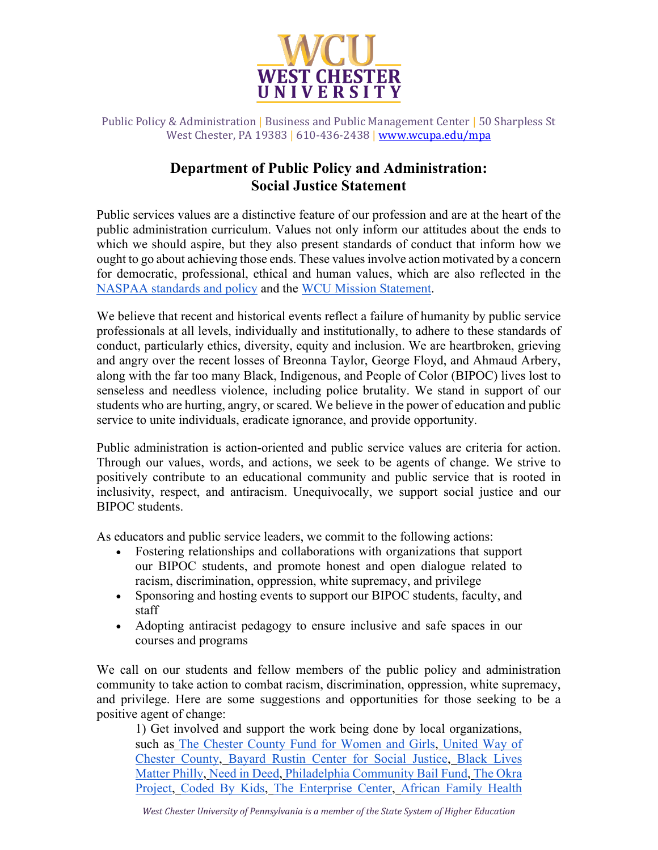

Public Policy & Administration | Business and Public Management Center | 50 Sharpless St West Chester, PA 19383 | 610-436-2438 | [www.wcupa.edu/mpa](http://www.wcupa.edu/mpa)

## **Department of Public Policy and Administration: Social Justice Statement**

Public services values are a distinctive feature of our profession and are at the heart of the public administration curriculum. Values not only inform our attitudes about the ends to which we should aspire, but they also present standards of conduct that inform how we ought to go about achieving those ends. These values involve action motivated by a concern for democratic, professional, ethical and human values, which are also reflected in the [NASPAA standards and policy](https://www.naspaa.org/accreditation/standards-and-guidance/official-standards-policy) and the [WCU Mission Statement.](https://www.wcupa.edu/president/missionStatement.aspx)

We believe that recent and historical events reflect a failure of humanity by public service professionals at all levels, individually and institutionally, to adhere to these standards of conduct, particularly ethics, diversity, equity and inclusion. We are heartbroken, grieving and angry over the recent losses of Breonna Taylor, George Floyd, and Ahmaud Arbery, along with the far too many Black, Indigenous, and People of Color (BIPOC) lives lost to senseless and needless violence, including police brutality. We stand in support of our students who are hurting, angry, or scared. We believe in the power of education and public service to unite individuals, eradicate ignorance, and provide opportunity.

Public administration is action-oriented and public service values are criteria for action. Through our values, words, and actions, we seek to be agents of change. We strive to positively contribute to an educational community and public service that is rooted in inclusivity, respect, and antiracism. Unequivocally, we support social justice and our BIPOC students.

As educators and public service leaders, we commit to the following actions:

- Fostering relationships and collaborations with organizations that support our BIPOC students, and promote honest and open dialogue related to racism, discrimination, oppression, white supremacy, and privilege
- Sponsoring and hosting events to support our BIPOC students, faculty, and staff
- Adopting antiracist pedagogy to ensure inclusive and safe spaces in our courses and programs

We call on our students and fellow members of the public policy and administration community to take action to combat racism, discrimination, oppression, white supremacy, and privilege. Here are some suggestions and opportunities for those seeking to be a positive agent of change:

1) Get involved and support the work being done by local organizations, such as [The Chester County Fund for Women and Girls,](https://ccwomenandgirls.org/) [United Way of](https://www.unitedwaychestercounty.org/)  [Chester County,](https://www.unitedwaychestercounty.org/) [Bayard Rustin Center for Social Justice,](https://www.rustincenter.org/) [Black Lives](http://www.blmphilly.com/)  [Matter Philly,](http://www.blmphilly.com/) [Need in Deed,](https://www.needindeed.org/) [Philadelphia Community Bail Fund,](https://www.phillybailout.com/) [The Okra](https://www.theokraproject.com/)  [Project,](https://www.theokraproject.com/) [Coded By Kids,](https://codedbykids.com/index.html) [The Enterprise Center,](https://www.theenterprisecenter.com/) [African Family Health](https://afaho.org/)